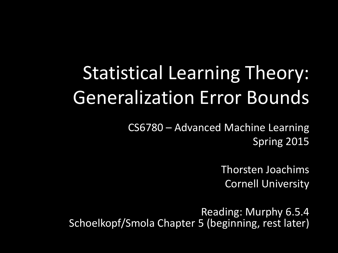## Statistical Learning Theory: Generalization Error Bounds

CS6780 – Advanced Machine Learning Spring 2015

> Thorsten Joachims Cornell University

Reading: Murphy 6.5.4 Schoelkopf/Smola Chapter 5 (beginning, rest later)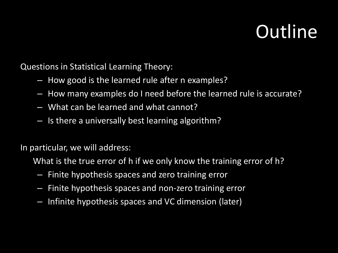#### **Outline**

Questions in Statistical Learning Theory:

- How good is the learned rule after n examples?
- How many examples do I need before the learned rule is accurate?
- What can be learned and what cannot?
- Is there a universally best learning algorithm?

In particular, we will address:

What is the true error of h if we only know the training error of h?

- Finite hypothesis spaces and zero training error
- Finite hypothesis spaces and non-zero training error
- Infinite hypothesis spaces and VC dimension (later)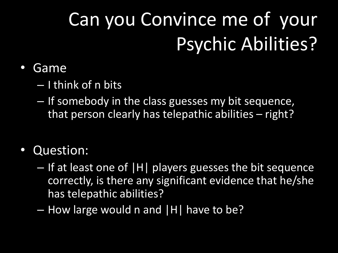# Can you Convince me of your Psychic Abilities?

#### • Game

- I think of n bits
- If somebody in the class guesses my bit sequence, that person clearly has telepathic abilities – right?

#### • Question:

- If at least one of |H| players guesses the bit sequence correctly, is there any significant evidence that he/she has telepathic abilities?
- How large would n and |H| have to be?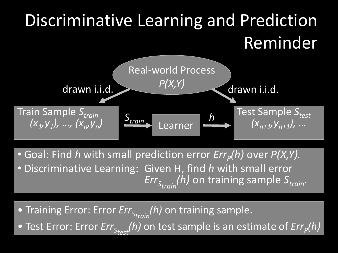## Discriminative Learning and Prediction Reminder Real-world Process



• Goal: Find *h* with small prediction error  $Err_p(h)$  over  $P(X,Y)$ .

• Discriminative Learning: Given H, find *h* with small error  $Err_{S_{train}}(h)$  on training sample  $S_{train}$ .

• Training Error: Error *Err*<sub>Strain</sub>(h) on training sample.

• Test Error: Error *Err*<sub>Stest</sub>(h) on test sample is an estimate of *Err*<sub>*P*</sub>(h)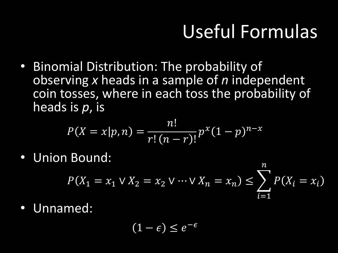### Useful Formulas

• Binomial Distribution: The probability of observing *x* heads in a sample of *n* independent coin tosses, where in each toss the probability of heads is *p*, is

$$
P(X = x | p, n) = \frac{n!}{r! (n - r)!} p^{x} (1 - p)^{n - x}
$$

• Union Bound:

$$
P(X_1 = x_1 \lor X_2 = x_2 \lor \dots \lor X_n = x_n) \le \sum_{i=1}^n P(X_i = x_i)
$$

Unnamed:

$$
(1-\epsilon)\leq e^{-\epsilon}
$$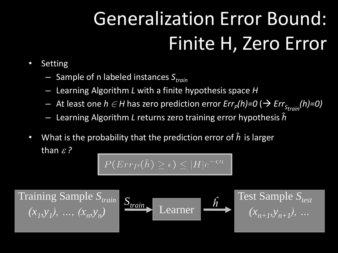# Generalization Error Bound: Finite H, Zero Error

- Setting
	- Sample of n labeled instances *Strain*
	- Learning Algorithm *L* with a finite hypothesis space *H*
	- $-$  At least one  $h \in H$  has zero prediction error  $Err_p(h)$ =0 ( $\rightarrow$   $Err_{S_{train}}(h)$ =0)  $-$
	- Learning Algorithm *L* returns zero training error hypothesis *ĥ*
- What is the probability that the prediction error of *ĥ* is larger than  $\varepsilon$  ?

 $P(\text{Err}_P(\hat{h}) \geq \epsilon) \leq |H|e^{-\epsilon n}$ 

 $(x_1, y_1), \ldots, (x_n, y_n)$  $Training$  Sample  $S_{train}$ 

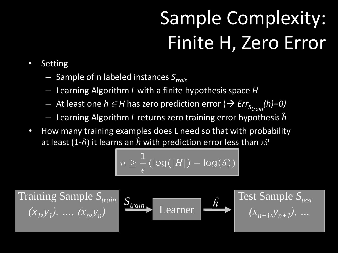## Sample Complexity: Finite H, Zero Error

- Setting
	- Sample of n labeled instances *Strain*
	- Learning Algorithm *L* with a finite hypothesis space *H*
	- $-$  At least one  $h \in H$  has zero prediction error ( $\Rightarrow$   $Err_{S_{train}}(h)=0)$
	- Learning Algorithm *L* returns zero training error hypothesis *ĥ*
- How many training examples does L need so that with probability at least (1- $\delta$ ) it learns an  $\hat{h}$  with prediction error less than  $\epsilon$ ?

$$
n \geq \frac{1}{\epsilon}(\log(|H|) - \log(\delta))
$$

 $(x_1, y_1), \ldots, (x_n, y_n)$ 

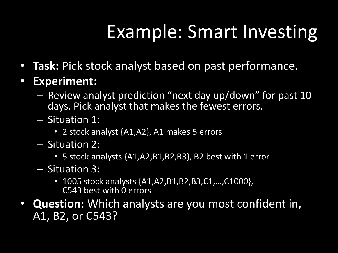### Example: Smart Investing

- **Task:** Pick stock analyst based on past performance.
- **Experiment:** 
	- Review analyst prediction "next day up/down" for past 10 days. Pick analyst that makes the fewest errors.
	- Situation 1:
		- 2 stock analyst {A1,A2}, A1 makes 5 errors
	- Situation 2:
		- 5 stock analysts {A1,A2,B1,B2,B3}, B2 best with 1 error
	- Situation 3:
		- 1005 stock analysts  $\{A1, A2, B1, B2, B3, C1, \ldots, C1000\},$ C543 best with 0 errors
- **Question:** Which analysts are you most confident in, A1, B2, or C543?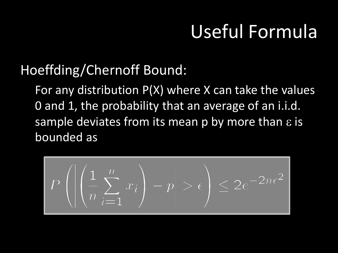### Useful Formula

#### Hoeffding/Chernoff Bound:

For any distribution P(X) where X can take the values 0 and 1, the probability that an average of an i.i.d. sample deviates from its mean p by more than  $\varepsilon$  is bounded as

$$
P\left(\left|\left(\frac{1}{n}\sum_{i=1}^{n}x_i\right)-p\right|>\epsilon\right)\leq 2e^{-2n\epsilon^2}
$$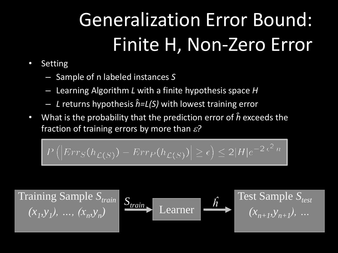# Generalization Error Bound: Finite H, Non-Zero Error

- Setting
	- Sample of n labeled instances *S*
	- Learning Algorithm *L* with a finite hypothesis space *H*
	- *L* returns hypothesis *ĥ=L(S)* with lowest training error
- What is the probability that the prediction error of *ĥ* exceeds the fraction of training errors by more than *?*

$$
P(|Err_S(h_{\mathcal{L}(S)}) - Err_P(h_{\mathcal{L}(S)})| \ge \epsilon) \le 2|H|e^{-2\epsilon^2 n}
$$

 $(x_1, y_1), \ldots, (x_n, y_n)$ Training Sample  $S_{train}$   $\sigma$  **Test Sample**  $S_{test}$